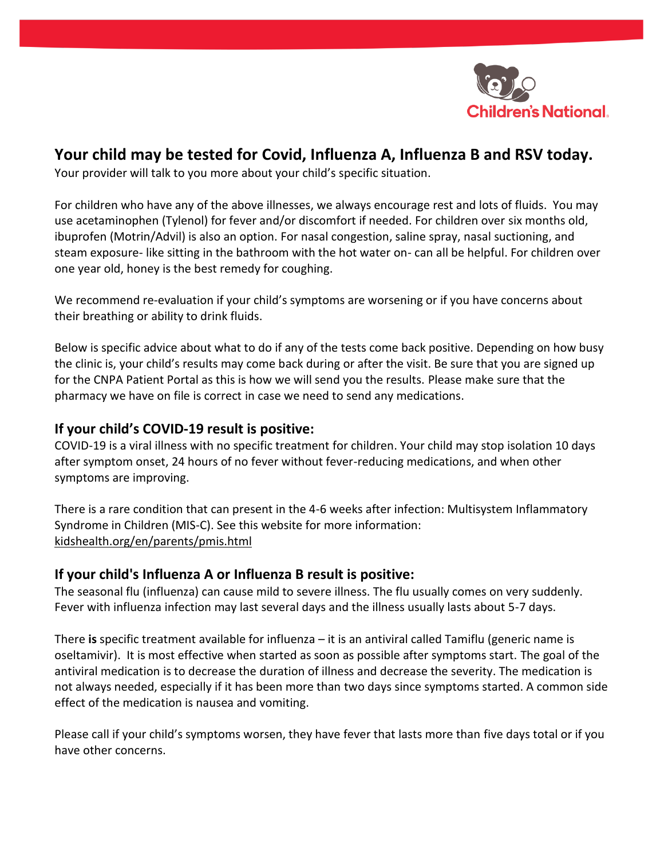

# **Your child may be tested for Covid, Influenza A, Influenza B and RSV today.**

Your provider will talk to you more about your child's specific situation.

For children who have any of the above illnesses, we always encourage rest and lots of fluids. You may use acetaminophen (Tylenol) for fever and/or discomfort if needed. For children over six months old, ibuprofen (Motrin/Advil) is also an option. For nasal congestion, saline spray, nasal suctioning, and steam exposure- like sitting in the bathroom with the hot water on- can all be helpful. For children over one year old, honey is the best remedy for coughing.

We recommend re-evaluation if your child's symptoms are worsening or if you have concerns about their breathing or ability to drink fluids.

Below is specific advice about what to do if any of the tests come back positive. Depending on how busy the clinic is, your child's results may come back during or after the visit. Be sure that you are signed up for the CNPA Patient Portal as this is how we will send you the results. Please make sure that the pharmacy we have on file is correct in case we need to send any medications.

### **If your child's COVID-19 result is positive:**

COVID-19 is a viral illness with no specific treatment for children. Your child may stop isolation 10 days after symptom onset, 24 hours of no fever without fever-reducing medications, and when other symptoms are improving.

There is a rare condition that can present in the 4-6 weeks after infection: Multisystem Inflammatory Syndrome in Children (MIS-C). See this website for more information: kidshealth.org/en/parents/pmis.html

## **If your child's Influenza A or Influenza B result is positive:**

The seasonal flu (influenza) can cause mild to severe illness. The flu usually comes on very suddenly. Fever with influenza infection may last several days and the illness usually lasts about 5-7 days.

There **is** specific treatment available for influenza – it is an antiviral called Tamiflu (generic name is oseltamivir). It is most effective when started as soon as possible after symptoms start. The goal of the antiviral medication is to decrease the duration of illness and decrease the severity. The medication is not always needed, especially if it has been more than two days since symptoms started. A common side effect of the medication is nausea and vomiting.

Please call if your child's symptoms worsen, they have fever that lasts more than five days total or if you have other concerns.